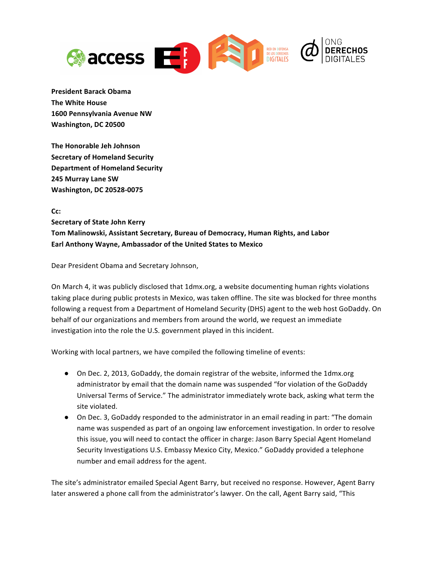

**President Barack Obama The White House 1600 Pennsylvania Avenue NW Washington, DC 20500**

**The Honorable Jeh Johnson Secretary of Homeland Security Department of Homeland Security 245 Murray Lane SW Washington, DC 20528-0075**

**Cc: Secretary of State John Kerry** Tom Malinowski, Assistant Secretary, Bureau of Democracy, Human Rights, and Labor Earl Anthony Wayne, Ambassador of the United States to Mexico

Dear President Obama and Secretary Johnson,

On March 4, it was publicly disclosed that 1dmx.org, a website documenting human rights violations taking place during public protests in Mexico, was taken offline. The site was blocked for three months following a request from a Department of Homeland Security (DHS) agent to the web host GoDaddy. On behalf of our organizations and members from around the world, we request an immediate investigation into the role the U.S. government played in this incident.

Working with local partners, we have compiled the following timeline of events:

- On Dec. 2, 2013, GoDaddy, the domain registrar of the website, informed the 1dmx.org administrator by email that the domain name was suspended "for violation of the GoDaddy Universal Terms of Service." The administrator immediately wrote back, asking what term the site violated.
- On Dec. 3, GoDaddy responded to the administrator in an email reading in part: "The domain name was suspended as part of an ongoing law enforcement investigation. In order to resolve this issue, you will need to contact the officer in charge: Jason Barry Special Agent Homeland Security Investigations U.S. Embassy Mexico City, Mexico." GoDaddy provided a telephone number and email address for the agent.

The site's administrator emailed Special Agent Barry, but received no response. However, Agent Barry later answered a phone call from the administrator's lawyer. On the call, Agent Barry said, "This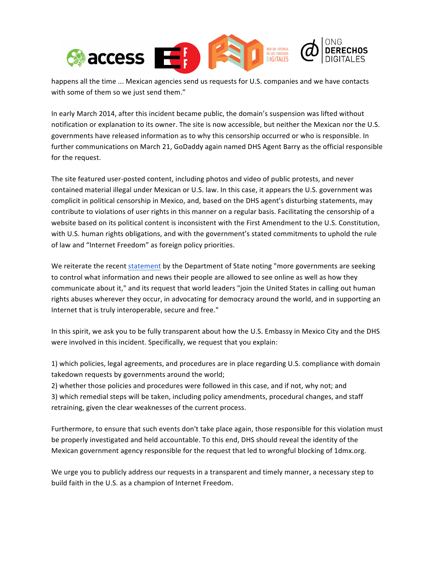

happens all the time ... Mexican agencies send us requests for U.S. companies and we have contacts with some of them so we just send them."

In early March 2014, after this incident became public, the domain's suspension was lifted without notification or explanation to its owner. The site is now accessible, but neither the Mexican nor the U.S. governments have released information as to why this censorship occurred or who is responsible. In further communications on March 21, GoDaddy again named DHS Agent Barry as the official responsible for the request.

The site featured user-posted content, including photos and video of public protests, and never contained material illegal under Mexican or U.S. law. In this case, it appears the U.S. government was complicit in political censorship in Mexico, and, based on the DHS agent's disturbing statements, may contribute to violations of user rights in this manner on a regular basis. Facilitating the censorship of a website based on its political content is inconsistent with the First Amendment to the U.S. Constitution, with U.S. human rights obligations, and with the government's stated commitments to uphold the rule of law and "Internet Freedom" as foreign policy priorities.

We reiterate the recent statement by the Department of State noting "more governments are seeking to control what information and news their people are allowed to see online as well as how they communicate about it," and its request that world leaders "join the United States in calling out human rights abuses wherever they occur, in advocating for democracy around the world, and in supporting an Internet that is truly interoperable, secure and free."

In this spirit, we ask you to be fully transparent about how the U.S. Embassy in Mexico City and the DHS were involved in this incident. Specifically, we request that you explain:

1) which policies, legal agreements, and procedures are in place regarding U.S. compliance with domain takedown requests by governments around the world;

2) whether those policies and procedures were followed in this case, and if not, why not; and 3) which remedial steps will be taken, including policy amendments, procedural changes, and staff retraining, given the clear weaknesses of the current process.

Furthermore, to ensure that such events don't take place again, those responsible for this violation must be properly investigated and held accountable. To this end, DHS should reveal the identity of the Mexican government agency responsible for the request that led to wrongful blocking of 1dmx.org.

We urge you to publicly address our requests in a transparent and timely manner, a necessary step to build faith in the U.S. as a champion of Internet Freedom.